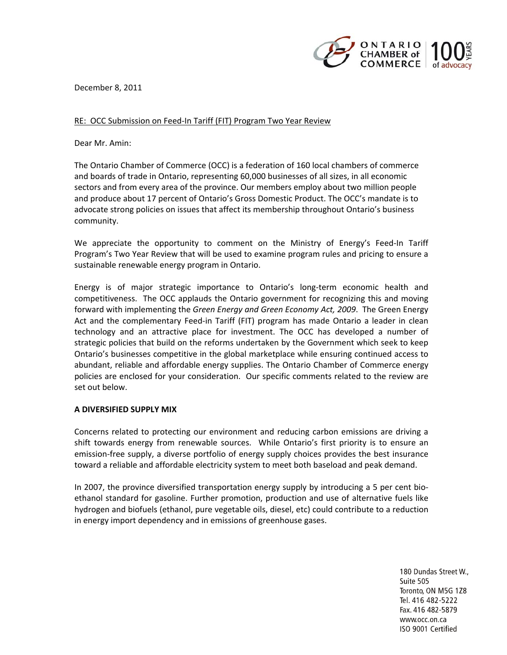

December 8, 2011

# RE: OCC Submission on Feed-In Tariff (FIT) Program Two Year Review

Dear Mr. Amin:

The Ontario Chamber of Commerce (OCC) is a federation of 160 local chambers of commerce and boards of trade in Ontario, representing 60,000 businesses of all sizes, in all economic sectors and from every area of the province. Our members employ about two million people and produce about 17 percent of Ontario's Gross Domestic Product. The OCC's mandate is to advocate strong policies on issues that affect its membership throughout Ontario's business community.

We appreciate the opportunity to comment on the Ministry of Energy's Feed-In Tariff Program's Two Year Review that will be used to examine program rules and pricing to ensure a sustainable renewable energy program in Ontario.

Energy is of major strategic importance to Ontario's long-term economic health and competitiveness. The OCC applauds the Ontario government for recognizing this and moving forward with implementing the *Green Energy and Green Economy Act, 2009*.The Green Energy Act and the complementary Feed-in Tariff (FIT) program has made Ontario a leader in clean technology and an attractive place for investment. The OCC has developed a number of strategic policies that build on the reforms undertaken by the Government which seek to keep Ontario's businesses competitive in the global marketplace while ensuring continued access to abundant, reliable and affordable energy supplies. The Ontario Chamber of Commerce energy policies are enclosed for your consideration. Our specific comments related to the review are set out below.

## **A DIVERSIFIED SUPPLY MIX**

Concerns related to protecting our environment and reducing carbon emissions are driving a shift towards energy from renewable sources. While Ontario's first priority is to ensure an emission-free supply, a diverse portfolio of energy supply choices provides the best insurance toward a reliable and affordable electricity system to meet both baseload and peak demand.

In 2007, the province diversified transportation energy supply by introducing a 5 per cent bioethanol standard for gasoline. Further promotion, production and use of alternative fuels like hydrogen and biofuels (ethanol, pure vegetable oils, diesel, etc) could contribute to a reduction in energy import dependency and in emissions of greenhouse gases.

> 180 Dundas Street W., Suite 505 Toronto, ON M5G 1Z8 Tel. 416 482-5222 Fax. 416 482-5879 www.occ.on.ca ISO 9001 Certified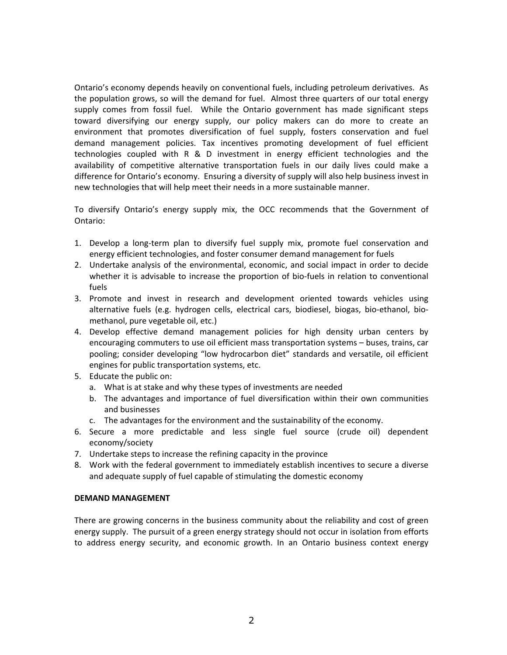Ontario's economy depends heavily on conventional fuels, including petroleum derivatives. As the population grows, so will the demand for fuel. Almost three quarters of our total energy supply comes from fossil fuel. While the Ontario government has made significant steps toward diversifying our energy supply, our policy makers can do more to create an environment that promotes diversification of fuel supply, fosters conservation and fuel demand management policies. Tax incentives promoting development of fuel efficient technologies coupled with R & D investment in energy efficient technologies and the availability of competitive alternative transportation fuels in our daily lives could make a difference for Ontario's economy. Ensuring a diversity of supply will also help business invest in new technologies that will help meet their needs in a more sustainable manner.

To diversify Ontario's energy supply mix, the OCC recommends that the Government of Ontario:

- 1. Develop a long-term plan to diversify fuel supply mix, promote fuel conservation and energy efficient technologies, and foster consumer demand management for fuels
- 2. Undertake analysis of the environmental, economic, and social impact in order to decide whether it is advisable to increase the proportion of bio-fuels in relation to conventional fuels
- 3. Promote and invest in research and development oriented towards vehicles using alternative fuels (e.g. hydrogen cells, electrical cars, biodiesel, biogas, bio-ethanol, biomethanol, pure vegetable oil, etc.)
- 4. Develop effective demand management policies for high density urban centers by encouraging commuters to use oil efficient mass transportation systems – buses, trains, car pooling; consider developing "low hydrocarbon diet" standards and versatile, oil efficient engines for public transportation systems, etc.
- 5. Educate the public on:
	- a. What is at stake and why these types of investments are needed
	- b. The advantages and importance of fuel diversification within their own communities and businesses
	- c. The advantages for the environment and the sustainability of the economy.
- 6. Secure a more predictable and less single fuel source (crude oil) dependent economy/society
- 7. Undertake steps to increase the refining capacity in the province
- 8. Work with the federal government to immediately establish incentives to secure a diverse and adequate supply of fuel capable of stimulating the domestic economy

## **DEMAND MANAGEMENT**

There are growing concerns in the business community about the reliability and cost of green energy supply. The pursuit of a green energy strategy should not occur in isolation from efforts to address energy security, and economic growth. In an Ontario business context energy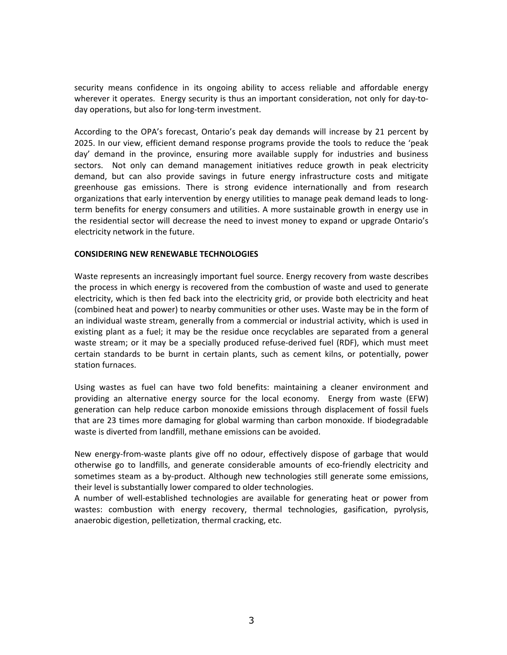security means confidence in its ongoing ability to access reliable and affordable energy wherever it operates. Energy security is thus an important consideration, not only for day-today operations, but also for long-term investment.

According to the OPA's forecast, Ontario's peak day demands will increase by 21 percent by 2025. In our view, efficient demand response programs provide the tools to reduce the 'peak day' demand in the province, ensuring more available supply for industries and business sectors. Not only can demand management initiatives reduce growth in peak electricity demand, but can also provide savings in future energy infrastructure costs and mitigate greenhouse gas emissions. There is strong evidence internationally and from research organizations that early intervention by energy utilities to manage peak demand leads to longterm benefits for energy consumers and utilities. A more sustainable growth in energy use in the residential sector will decrease the need to invest money to expand or upgrade Ontario's electricity network in the future.

## **CONSIDERING NEW RENEWABLE TECHNOLOGIES**

Waste represents an increasingly important fuel source. Energy recovery from waste describes the process in which energy is recovered from the combustion of waste and used to generate electricity, which is then fed back into the electricity grid, or provide both electricity and heat (combined heat and power) to nearby communities or other uses. Waste may be in the form of an individual waste stream, generally from a commercial or industrial activity, which is used in existing plant as a fuel; it may be the residue once recyclables are separated from a general waste stream; or it may be a specially produced refuse-derived fuel (RDF), which must meet certain standards to be burnt in certain plants, such as cement kilns, or potentially, power station furnaces.

Using wastes as fuel can have two fold benefits: maintaining a cleaner environment and providing an alternative energy source for the local economy. Energy from waste (EFW) generation can help reduce carbon monoxide emissions through displacement of fossil fuels that are 23 times more damaging for global warming than carbon monoxide. If biodegradable waste is diverted from landfill, methane emissions can be avoided.

New energy-from-waste plants give off no odour, effectively dispose of garbage that would otherwise go to landfills, and generate considerable amounts of eco-friendly electricity and sometimes steam as a by-product. Although new technologies still generate some emissions, their level is substantially lower compared to older technologies.

A number of well-established technologies are available for generating heat or power from wastes: combustion with energy recovery, thermal technologies, gasification, pyrolysis, anaerobic digestion, pelletization, thermal cracking, etc.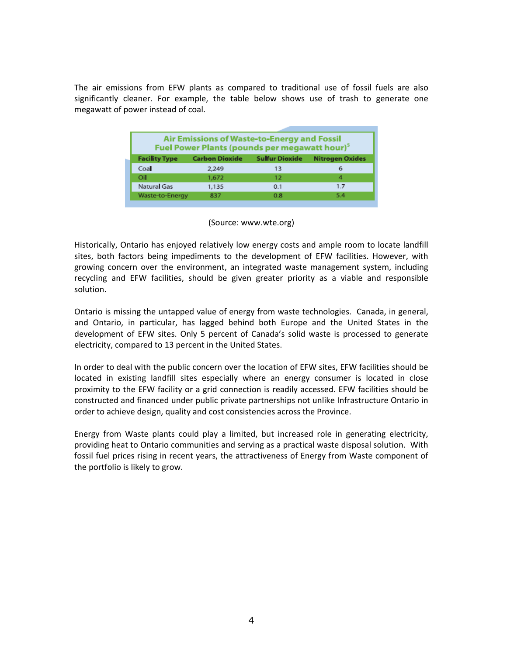The air emissions from EFW plants as compared to traditional use of fossil fuels are also significantly cleaner. For example, the table below shows use of trash to generate one megawatt of power instead of coal.

| Air Emissions of Waste-to-Energy and Fossil<br>Fuel Power Plants (pounds per megawatt hour) <sup>5</sup> |                       |                       |                        |
|----------------------------------------------------------------------------------------------------------|-----------------------|-----------------------|------------------------|
| <b>Facility Type</b>                                                                                     | <b>Carbon Dioxide</b> | <b>Sulfur Dioxide</b> | <b>Nitrogen Oxides</b> |
| Coal                                                                                                     | 2,249                 | 13                    | 6                      |
| Oil                                                                                                      | 1,672                 | $12^{1}$              | 4                      |
| Natural Gas                                                                                              | 1,135                 | 0.1                   | 1.7                    |
| Waste-to-Energy                                                                                          | 837                   | 0.8                   | 5.4                    |

### (Source: www.wte.org)

Historically, Ontario has enjoyed relatively low energy costs and ample room to locate landfill sites, both factors being impediments to the development of EFW facilities. However, with growing concern over the environment, an integrated waste management system, including recycling and EFW facilities, should be given greater priority as a viable and responsible solution.

Ontario is missing the untapped value of energy from waste technologies.Canada, in general, and Ontario, in particular, has lagged behind both Europe and the United States in the development of EFW sites. Only 5 percent of Canada's solid waste is processed to generate electricity, compared to 13 percent in the United States.

In order to deal with the public concern over the location of EFW sites, EFW facilities should be located in existing landfill sites especially where an energy consumer is located in close proximity to the EFW facility or a grid connection is readily accessed. EFW facilities should be constructed and financed under public private partnerships not unlike Infrastructure Ontario in order to achieve design, quality and cost consistencies across the Province.

Energy from Waste plants could play a limited, but increased role in generating electricity, providing heat to Ontario communities and serving as a practical waste disposal solution. With fossil fuel prices rising in recent years, the attractiveness of Energy from Waste component of the portfolio is likely to grow.